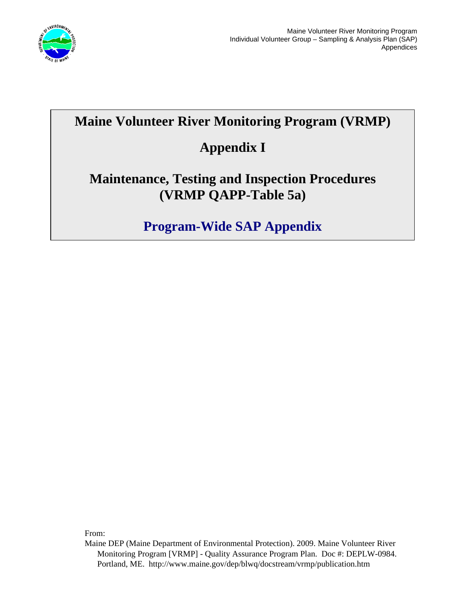

### **Maine Volunteer River Monitoring Program (VRMP)**

## **Appendix I**

#### **Maintenance, Testing and Inspection Procedures (VRMP QAPP-Table 5a)**

# **Program-Wide SAP Appendix**

From:

Maine DEP (Maine Department of Environmental Protection). 2009. Maine Volunteer River Monitoring Program [VRMP] - Quality Assurance Program Plan. Doc #: DEPLW-0984. Portland, ME. http://www.maine.gov/dep/blwq/docstream/vrmp/publication.htm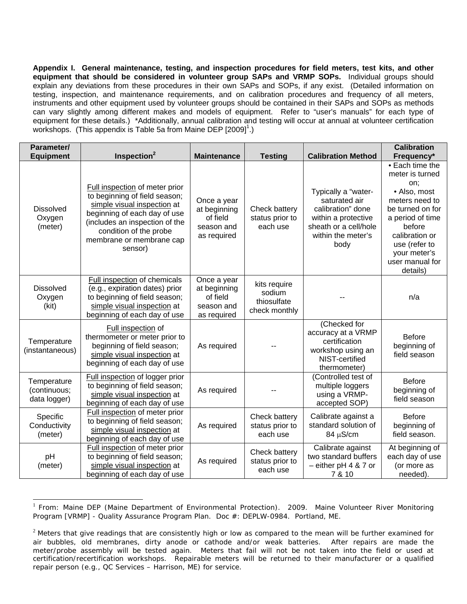**Appendix I. General maintenance, testing, and inspection procedures for field meters, test kits, and other equipment that should be considered in volunteer group SAPs and VRMP SOPs.** Individual groups should explain any deviations from these procedures in their own SAPs and SOPs, if any exist. (Detailed information on testing, inspection, and maintenance requirements, and on calibration procedures and frequency of all meters, instruments and other equipment used by volunteer groups should be contained in their SAPs and SOPs as methods can vary slightly among different makes and models of equipment. Refer to "user's manuals" for each type of equipment for these details.) \*Additionally, annual calibration and testing will occur at annual at volunteer certification workshops. (This appendix is Table 5a from Maine DEP [2009]<sup>1</sup>.)

| Parameter/<br><b>Equipment</b>              | Inspection <sup>2</sup>                                                                                                                                                                                                           | <b>Maintenance</b>                                                   | <b>Testing</b>                                         | <b>Calibration Method</b>                                                                                                               | <b>Calibration</b><br>Frequency*                                                                                                                                                                                |
|---------------------------------------------|-----------------------------------------------------------------------------------------------------------------------------------------------------------------------------------------------------------------------------------|----------------------------------------------------------------------|--------------------------------------------------------|-----------------------------------------------------------------------------------------------------------------------------------------|-----------------------------------------------------------------------------------------------------------------------------------------------------------------------------------------------------------------|
| <b>Dissolved</b><br>Oxygen<br>(meter)       | Full inspection of meter prior<br>to beginning of field season;<br>simple visual inspection at<br>beginning of each day of use<br>(includes an inspection of the<br>condition of the probe<br>membrane or membrane cap<br>sensor) | Once a year<br>at beginning<br>of field<br>season and<br>as required | Check battery<br>status prior to<br>each use           | Typically a "water-<br>saturated air<br>calibration" done<br>within a protective<br>sheath or a cell/hole<br>within the meter's<br>body | • Each time the<br>meter is turned<br>on:<br>• Also, most<br>meters need to<br>be turned on for<br>a period of time<br>before<br>calibration or<br>use (refer to<br>your meter's<br>user manual for<br>details) |
| <b>Dissolved</b><br>Oxygen<br>(kit)         | Full inspection of chemicals<br>(e.g., expiration dates) prior<br>to beginning of field season;<br>simple visual inspection at<br>beginning of each day of use                                                                    | Once a year<br>at beginning<br>of field<br>season and<br>as required | kits require<br>sodium<br>thiosulfate<br>check monthly |                                                                                                                                         | n/a                                                                                                                                                                                                             |
| Temperature<br>(instantaneous)              | Full inspection of<br>thermometer or meter prior to<br>beginning of field season;<br>simple visual inspection at<br>beginning of each day of use                                                                                  | As required                                                          |                                                        | (Checked for<br>accuracy at a VRMP<br>certification<br>workshop using an<br>NIST-certified<br>thermometer)                              | <b>Before</b><br>beginning of<br>field season                                                                                                                                                                   |
| Temperature<br>(continuous;<br>data logger) | Full inspection of logger prior<br>to beginning of field season;<br>simple visual inspection at<br>beginning of each day of use                                                                                                   | As required                                                          |                                                        | (Controlled test of<br>multiple loggers<br>using a VRMP-<br>accepted SOP)                                                               | <b>Before</b><br>beginning of<br>field season                                                                                                                                                                   |
| Specific<br>Conductivity<br>(meter)         | Full inspection of meter prior<br>to beginning of field season;<br>simple visual inspection at<br>beginning of each day of use                                                                                                    | As required                                                          | Check battery<br>status prior to<br>each use           | Calibrate against a<br>standard solution of<br>$84 \mu S/cm$                                                                            | <b>Before</b><br>beginning of<br>field season.                                                                                                                                                                  |
| pH<br>(meter)                               | Full inspection of meter prior<br>to beginning of field season;<br>simple visual inspection at<br>beginning of each day of use                                                                                                    | As required                                                          | Check battery<br>status prior to<br>each use           | Calibrate against<br>two standard buffers<br>$-$ either pH 4 & 7 or<br>7 & 10                                                           | At beginning of<br>each day of use<br>(or more as<br>needed).                                                                                                                                                   |

<sup>&</sup>lt;sup>1</sup> From: Maine DEP (Maine Department of Environmental Protection). 2009. Maine Volunteer River Monitoring Program [VRMP] - Quality Assurance Program Plan. Doc #: DEPLW-0984. Portland, ME.

 $\overline{a}$ 

 $2$  Meters that give readings that are consistently high or low as compared to the mean will be further examined for air bubbles, old membranes, dirty anode or cathode and/or weak batteries. After repairs are made the meter/probe assembly will be tested again. Meters that fail will not be not taken into the field or used at certification/recertification workshops. Repairable meters will be returned to their manufacturer or a qualified repair person (e.g., QC Services – Harrison, ME) for service.